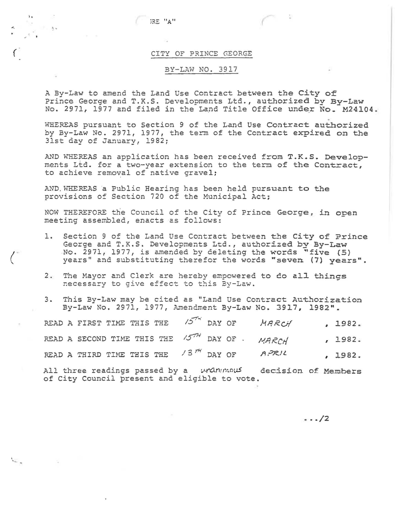JRE "A"

## CITY OF PRINCE GEORGE

## BY-LAW NO. 3917

A By-Law to amend the Land Use Contract between the City of Prince George and T.K.S. Developments Ltd., authorized by By-Law No. 2971, 1977 and filed in the Land Title Office under No. M24104.

WHEREAS pursuant to Section 9 of the Land Use Contract authorized by By-Law No. 2971, 1977, the term of the Contract expired on the 31st dav of January, 1982;

AND WHEREAS an application has been received from T.K.S. Developments Ltd. for a two-year extension to the term of the Contract, to achieve removal of native gravel;

AND WHEREAS a Public Hearing has been held pursuant to the provisions of Section 720 of the Municipal Act;

NOW THEREFORE the Council of the City of Prince George, in open meeting assembled, enacts as follows:

- 1. Section 9 of the Land Use Contract between the City of Prince George and T.K.S. Developments Ltd., authorized by By-Law No. 2971, 1977, is amended by deleting the words "five (5) years" and substituting therefor the words "seven (7) years".
- 2. The Mayor and Clerk are hereby empowered to do all things necessary to give effect to this By-Law.
- 3. This By-Law may be cited as "Land Use Contract Authorization By-Law No. 2971, 1977, Amendment By-Law No. 3917, 1982".

|  | READ A FIRST TIME THIS THE $15^{74}$ DAY OF MARCH |  |  | , 1982. |
|--|---------------------------------------------------|--|--|---------|
|  | READ A SECOND TIME THIS THE 1577 DAY OF . MARCH   |  |  | , 1982. |
|  | READ A THIRD TIME THIS THE $/3^{74}$ DAY OF APRIL |  |  | , 1982. |

All three readings passed by a unanunous decision of Members of City Council present and eligible to vote.

 $\cdots/2$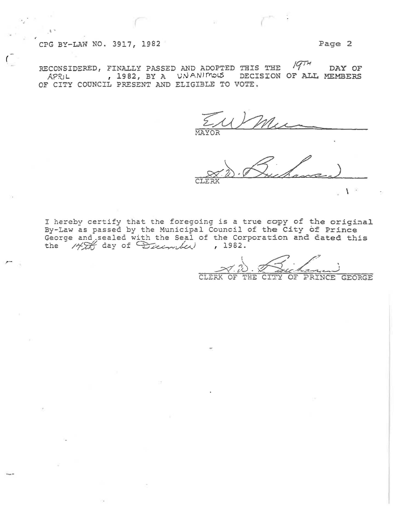## CPG BY-LAW NO. 3917, 1982 Page 2

 $\sqrt{2}$ 

*r-*

 $\sqrt{q}$  in RECONSIDERED, FINALLY PASSED AND ADOPTED THIS THE  $141.7$  DAY OF APRIL , 1982, BY A UNANIMOUS DECISION OF ALL MEMBERS OF CITY COUNCIL PRESENT AND ELIGIBLE TO VOTE.

~1AYOR

CLERK

I hereby certify that the foregoing is a true copy of the original By-Law as passed by the Municipal Council of the City of Prince By-Law as passed by the municipal council of the City of Filnce<br>George and sealed with the Seal of the Corporation and Cated this George and sealed with the Seal of the Corporation and cated<br>the  $\frac{1}{2}$  day of  $\frac{1}{2}$  incomplex , 1982.

\_.::;:-(7: *t'}.)* . *:;{(* .;" .· '--~~ .:--\_) GEORGE

\